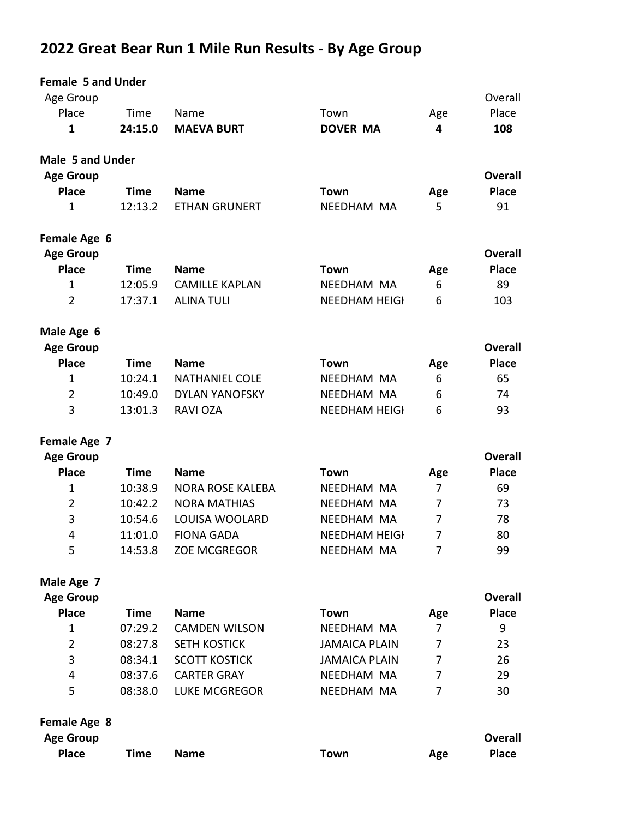# 2022 Great Bear Run 1 Mile Run Results - By Age Group

| <b>Female 5 and Under</b>        |             |                         |                      |                |                |
|----------------------------------|-------------|-------------------------|----------------------|----------------|----------------|
| Age Group                        |             |                         |                      |                | Overall        |
| Place                            | Time        | Name                    | Town                 | Age            | Place          |
| 1                                | 24:15.0     | <b>MAEVA BURT</b>       | <b>DOVER MA</b>      | 4              | 108            |
| <b>Male 5 and Under</b>          |             |                         |                      |                |                |
| <b>Age Group</b>                 |             |                         |                      |                | <b>Overall</b> |
| <b>Place</b>                     | <b>Time</b> | <b>Name</b>             | <b>Town</b>          | Age            | <b>Place</b>   |
| 1                                | 12:13.2     | <b>ETHAN GRUNERT</b>    | NEEDHAM MA           | 5              | 91             |
| Female Age 6<br><b>Age Group</b> |             |                         |                      |                | <b>Overall</b> |
| <b>Place</b>                     | <b>Time</b> | <b>Name</b>             | <b>Town</b>          | Age            | <b>Place</b>   |
| 1                                | 12:05.9     | <b>CAMILLE KAPLAN</b>   | NEEDHAM MA           | 6              | 89             |
| $\overline{2}$                   | 17:37.1     | <b>ALINA TULI</b>       | <b>NEEDHAM HEIGH</b> | 6              | 103            |
| Male Age 6                       |             |                         |                      |                |                |
| <b>Age Group</b>                 |             |                         |                      |                | <b>Overall</b> |
| <b>Place</b>                     | <b>Time</b> | <b>Name</b>             | Town                 | Age            | <b>Place</b>   |
| $\mathbf{1}$                     | 10:24.1     | <b>NATHANIEL COLE</b>   | NEEDHAM MA           | 6              | 65             |
| $\overline{2}$                   | 10:49.0     | <b>DYLAN YANOFSKY</b>   | NEEDHAM MA           | 6              | 74             |
| 3                                | 13:01.3     | <b>RAVI OZA</b>         | <b>NEEDHAM HEIGH</b> | 6              | 93             |
| Female Age 7                     |             |                         |                      |                |                |
| <b>Age Group</b>                 |             |                         |                      |                | <b>Overall</b> |
| <b>Place</b>                     | <b>Time</b> | <b>Name</b>             | <b>Town</b>          | Age            | <b>Place</b>   |
| 1                                | 10:38.9     | <b>NORA ROSE KALEBA</b> | NEEDHAM MA           | 7              | 69             |
| $\overline{2}$                   | 10:42.2     | <b>NORA MATHIAS</b>     | NEEDHAM MA           | 7              | 73             |
| 3                                | 10:54.6     | LOUISA WOOLARD          | NEEDHAM MA           | $\overline{7}$ | 78             |
| 4                                | 11:01.0     | <b>FIONA GADA</b>       | <b>NEEDHAM HEIGH</b> | $\overline{7}$ | 80             |
| 5                                | 14:53.8     | <b>ZOE MCGREGOR</b>     | NEEDHAM MA           | 7              | 99             |
| Male Age 7                       |             |                         |                      |                |                |
| <b>Age Group</b>                 |             |                         |                      |                | <b>Overall</b> |
| <b>Place</b>                     | <b>Time</b> | <b>Name</b>             | Town                 | Age            | <b>Place</b>   |
| 1                                | 07:29.2     | <b>CAMDEN WILSON</b>    | NEEDHAM MA           | 7              | 9              |
| $\overline{2}$                   | 08:27.8     | <b>SETH KOSTICK</b>     | <b>JAMAICA PLAIN</b> | 7              | 23             |
| 3                                | 08:34.1     | <b>SCOTT KOSTICK</b>    | <b>JAMAICA PLAIN</b> | 7              | 26             |
| 4                                | 08:37.6     | <b>CARTER GRAY</b>      | NEEDHAM MA           | 7              | 29             |
| 5                                | 08:38.0     | <b>LUKE MCGREGOR</b>    | NEEDHAM MA           | 7              | 30             |
| Female Age 8                     |             |                         |                      |                |                |
| <b>Age Group</b>                 |             |                         |                      |                | <b>Overall</b> |
| <b>Place</b>                     | <b>Time</b> | <b>Name</b>             | Town                 | Age            | <b>Place</b>   |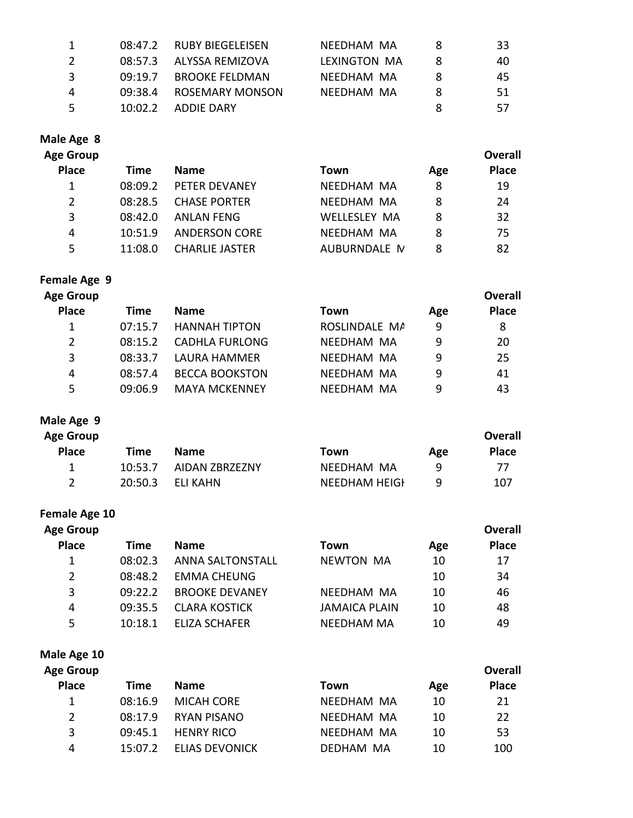| -1            |         | 08:47.2 RUBY BIEGELEISEN | NEEDHAM MA   |   | 33  |
|---------------|---------|--------------------------|--------------|---|-----|
| $\mathcal{L}$ |         | 08:57.3 ALYSSA REMIZOVA  | LEXINGTON MA |   | 40  |
| -3            | 09:19.7 | BROOKF FFLDMAN           | NFFDHAM MA   |   | 45  |
| 4             | 09:38.4 | ROSFMARY MONSON          | NFFDHAM MA   | x | -51 |
| -5.           | 10:02.2 | ADDIE DARY               |              | 8 | 57  |

#### **Male Age 8**

| <b>Age Group</b> |  |
|------------------|--|
|------------------|--|

| ge Group     |         |                       |                     |     | <b>Overall</b> |
|--------------|---------|-----------------------|---------------------|-----|----------------|
| <b>Place</b> | Time    | <b>Name</b>           | Town                | Age | <b>Place</b>   |
| 1            | 08:09.2 | <b>PFTFR DFVANFY</b>  | NFFDHAM MA          | 8   | 19             |
| 2            | 08:28.5 | <b>CHASE PORTER</b>   | NFFDHAM MA          | 8   | 24             |
| 3            | 0.142.0 | ANLAN FFNG            | <b>WFLLFSLFY MA</b> | 8   | 32             |
| 4            | 10:51.9 | <b>ANDERSON CORE</b>  | NFFDHAM MA          | 8   | 75             |
| 5            | 11:08.0 | <b>CHARLIE JASTER</b> | AUBURNDALE M        | 8   | 82             |
|              |         |                       |                     |     |                |

## **Female Age 9**

| <b>Age Group</b> |         |                       |               |     | <b>Overall</b> |
|------------------|---------|-----------------------|---------------|-----|----------------|
| <b>Place</b>     | Time    | <b>Name</b>           | Town          | Age | Place          |
|                  | 07:15.7 | <b>HANNAH TIPTON</b>  | ROSLINDALE MA | 9   | 8              |
| 2                | 08:15.2 | <b>CADHLA FURLONG</b> | NEEDHAM MA    | q   | 20             |
| 3                | 08:33.7 | LAURA HAMMER          | NFFDHAM MA    | 9   | 25             |
| 4                | 08:57.4 | <b>BECCA BOOKSTON</b> | NEEDHAM MA    | 9   | 41             |
| 5.               | 09:06.9 | <b>MAYA MCKENNEY</b>  | NEEDHAM MA    | ٩   | 43             |
|                  |         |                       |               |     |                |

#### **Male Age 9**

| <b>Age Group</b><br><b>Place</b> | Time    | <b>Name</b>            | Town                 | Age | Overall<br><b>Place</b> |
|----------------------------------|---------|------------------------|----------------------|-----|-------------------------|
| 1                                |         | 10:53.7 AIDAN ZBRZEZNY | NEEDHAM MA           | a   | 77                      |
|                                  | 20:50.3 | FLI KAHN               | <b>NEEDHAM HEIGH</b> | q   | 107                     |

### **Female Age 10**

| <b>Age Group</b> |             |                         |                      |     | <b>Overall</b> |
|------------------|-------------|-------------------------|----------------------|-----|----------------|
| <b>Place</b>     | <b>Time</b> | <b>Name</b>             | Town                 | Age | <b>Place</b>   |
| 1                | 08:02.3     | <b>ANNA SALTONSTALL</b> | <b>NEWTON MA</b>     | 10  | 17             |
| 2                | 08:48.2     | <b>FMMA CHEUNG</b>      |                      | 10  | 34             |
| 3                | 09:22.2     | <b>BROOKE DEVANEY</b>   | NEEDHAM MA           | 10  | 46             |
| 4                | 09:35.5     | <b>CLARA KOSTICK</b>    | <b>JAMAICA PLAIN</b> | 10  | 48             |
| 5                | 10:18.1     | ELIZA SCHAFER           | <b>NEEDHAM MA</b>    | 10  | 49             |

#### **Male Age 10**

| <b>Age Group</b> |             |                       |            |     | Overall      |
|------------------|-------------|-----------------------|------------|-----|--------------|
| <b>Place</b>     | <b>Time</b> | <b>Name</b>           | Town       | Age | <b>Place</b> |
| 1                | 08:16.9     | MICAH CORF            | NEEDHAM MA | 10  | 21           |
| 2                | 08:17.9     | RYAN PISANO           | NFFDHAM MA | 10  | 22           |
| 3                | 09:45.1     | <b>HENRY RICO</b>     | NFFDHAM MA | 10  | 53           |
| 4                | 15:07.2     | <b>ELIAS DEVONICK</b> | DFDHAM MA  | 10  | 100          |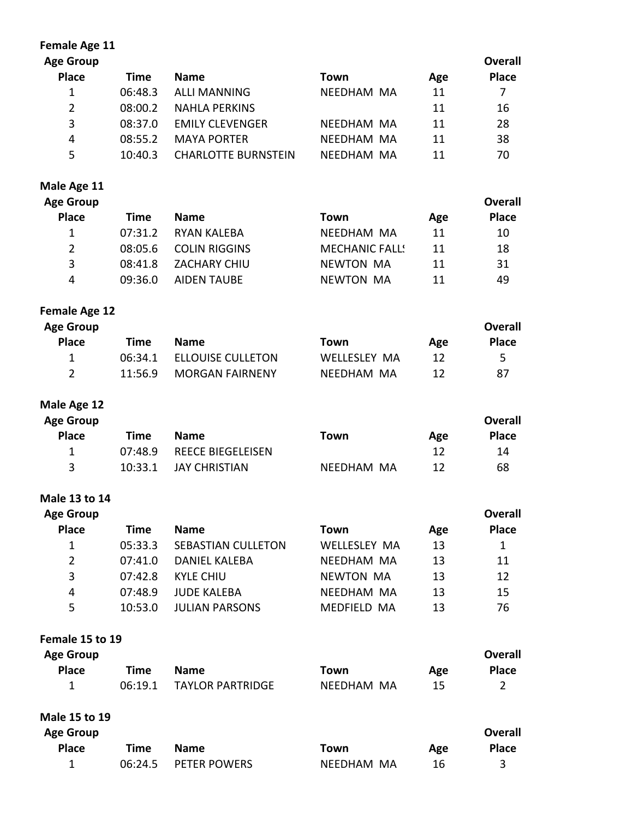| <b>Female Age 11</b> |             |                            |                       |     |                |
|----------------------|-------------|----------------------------|-----------------------|-----|----------------|
| <b>Age Group</b>     |             |                            |                       |     | <b>Overall</b> |
| <b>Place</b>         | <b>Time</b> | <b>Name</b>                | <b>Town</b>           | Age | <b>Place</b>   |
| $\mathbf{1}$         | 06:48.3     | <b>ALLI MANNING</b>        | NEEDHAM MA            | 11  | $\overline{7}$ |
| $\overline{2}$       | 08:00.2     | <b>NAHLA PERKINS</b>       |                       | 11  | 16             |
| 3                    | 08:37.0     | <b>EMILY CLEVENGER</b>     | NEEDHAM MA            | 11  | 28             |
| 4                    | 08:55.2     | <b>MAYA PORTER</b>         | NEEDHAM MA            | 11  | 38             |
| 5                    | 10:40.3     | <b>CHARLOTTE BURNSTEIN</b> | NEEDHAM MA            | 11  | 70             |
| Male Age 11          |             |                            |                       |     |                |
| <b>Age Group</b>     |             |                            |                       |     | <b>Overall</b> |
| <b>Place</b>         | <b>Time</b> | <b>Name</b>                | <b>Town</b>           | Age | <b>Place</b>   |
| $\mathbf{1}$         | 07:31.2     | <b>RYAN KALEBA</b>         | NEEDHAM MA            | 11  | 10             |
| $\overline{2}$       | 08:05.6     | <b>COLIN RIGGINS</b>       | <b>MECHANIC FALLS</b> | 11  | 18             |
| 3                    | 08:41.8     | ZACHARY CHIU               | <b>NEWTON MA</b>      | 11  | 31             |
| 4                    | 09:36.0     | <b>AIDEN TAUBE</b>         | <b>NEWTON MA</b>      | 11  | 49             |
| <b>Female Age 12</b> |             |                            |                       |     |                |
| <b>Age Group</b>     |             |                            |                       |     | <b>Overall</b> |
| <b>Place</b>         | <b>Time</b> | <b>Name</b>                | <b>Town</b>           | Age | <b>Place</b>   |
| $\mathbf{1}$         | 06:34.1     | <b>ELLOUISE CULLETON</b>   | <b>WELLESLEY MA</b>   | 12  | 5              |
| $\overline{2}$       | 11:56.9     | <b>MORGAN FAIRNENY</b>     | NEEDHAM MA            | 12  | 87             |
| Male Age 12          |             |                            |                       |     |                |
| <b>Age Group</b>     |             |                            |                       |     | <b>Overall</b> |
| <b>Place</b>         | <b>Time</b> | <b>Name</b>                | <b>Town</b>           | Age | <b>Place</b>   |
| $\mathbf{1}$         | 07:48.9     | <b>REECE BIEGELEISEN</b>   |                       | 12  | 14             |
| 3                    | 10:33.1     | <b>JAY CHRISTIAN</b>       | NEEDHAM MA            | 12  | 68             |
| Male 13 to 14        |             |                            |                       |     |                |
| <b>Age Group</b>     |             |                            |                       |     | <b>Overall</b> |
| <b>Place</b>         | <b>Time</b> | <b>Name</b>                | <b>Town</b>           | Age | <b>Place</b>   |
| $\mathbf{1}$         | 05:33.3     | <b>SEBASTIAN CULLETON</b>  | <b>WELLESLEY MA</b>   | 13  | $\mathbf{1}$   |
| $\overline{2}$       | 07:41.0     | <b>DANIEL KALEBA</b>       | NEEDHAM MA            | 13  | 11             |
| 3                    | 07:42.8     | <b>KYLE CHIU</b>           | <b>NEWTON MA</b>      | 13  | 12             |
| 4                    | 07:48.9     | <b>JUDE KALEBA</b>         | NEEDHAM MA            | 13  | 15             |
| 5                    | 10:53.0     | <b>JULIAN PARSONS</b>      | MEDFIELD MA           | 13  | 76             |
| Female 15 to 19      |             |                            |                       |     |                |
| <b>Age Group</b>     |             |                            |                       |     | <b>Overall</b> |
| <b>Place</b>         | <b>Time</b> | <b>Name</b>                | <b>Town</b>           | Age | <b>Place</b>   |
| $\mathbf{1}$         | 06:19.1     | <b>TAYLOR PARTRIDGE</b>    | NEEDHAM MA            | 15  | $\overline{2}$ |

**Male 15 to 19 Age Group Place Time Name Town Age Overall Place** 1 06:24.5 PETER POWERS NEEDHAM MA 16 3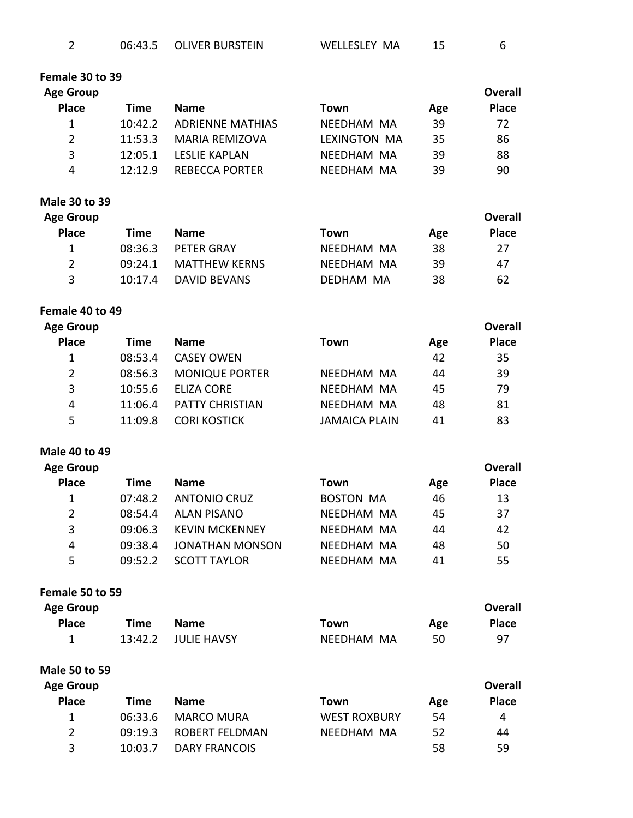| 06:43.5 | <b>OLIVER BURSTEIN</b> | WELLESLEY MA |  |
|---------|------------------------|--------------|--|
|         |                        |              |  |

| Female 30 to 39 |  |  |  |
|-----------------|--|--|--|
|-----------------|--|--|--|

| Age Group    |         |                         |              |     | <b>Overall</b> |
|--------------|---------|-------------------------|--------------|-----|----------------|
| <b>Place</b> | Time    | <b>Name</b>             | Town         | Age | <b>Place</b>   |
|              | 10:42.2 | <b>ADRIENNE MATHIAS</b> | NEEDHAM MA   | 39  | 72             |
| 2            | 11:53.3 | <b>MARIA REMIZOVA</b>   | LEXINGTON MA | 35  | 86             |
| 3            | 12:05.1 | LESLIE KAPLAN           | NFFDHAM MA   | 39  | 88             |
| 4            | 12.129  | REBECCA PORTER          | NFFDHAM MA   | 39  | 90             |
|              |         |                         |              |     |                |

**Male 30 to 39**

| <b>Age Group</b> |         |                      |            |     | Overall      |
|------------------|---------|----------------------|------------|-----|--------------|
| <b>Place</b>     | Time    | <b>Name</b>          | Town       | Age | <b>Place</b> |
| 1                | 08:36.3 | PFTFR GRAY           | NFFDHAM MA | 38  | 27           |
| 2                | 09:24.1 | <b>MATTHEW KERNS</b> | NFFDHAM MA | 39  | 47           |
| 3                | 10:17.4 | DAVID BEVANS         | DFDHAM MA  | 38  | 62           |

**Female 40 to 49**

| <b>Age Group</b><br><b>Place</b> | Time    | <b>Name</b>            | Town                 | Age | <b>Overall</b><br><b>Place</b> |
|----------------------------------|---------|------------------------|----------------------|-----|--------------------------------|
| 1                                | 08:53.4 | <b>CASEY OWEN</b>      |                      | 42  | 35                             |
| $\mathbf{2}^{\prime}$            | 08:56.3 | <b>MONIQUE PORTER</b>  | NFFDHAM MA           | 44  | 39                             |
| 3                                | 10:55.6 | <b>FLIZA CORF</b>      | NFFDHAM MA           | 45  | 79                             |
| 4                                | 11:06.4 | <b>PATTY CHRISTIAN</b> | NFFDHAM MA           | 48  | 81                             |
| 5                                | 11:09.8 | <b>CORI KOSTICK</b>    | <b>JAMAICA PLAIN</b> | 41  | 83                             |

**Male 40 to 49**

| <b>Age Group</b> |         |                        |                  |     | Overall      |
|------------------|---------|------------------------|------------------|-----|--------------|
| <b>Place</b>     | Time    | <b>Name</b>            | Town             | Age | <b>Place</b> |
|                  | 07:48.2 | <b>ANTONIO CRUZ</b>    | <b>BOSTON MA</b> | 46  | 13           |
| 2                | 08:54.4 | ALAN PISANO            | NFFDHAM MA       | 45  | 37           |
| 3                | 09:06.3 | <b>KEVIN MCKENNEY</b>  | NEEDHAM MA       | 44  | 42           |
| 4                | 09:38.4 | <b>JONATHAN MONSON</b> | NEEDHAM MA       | 48  | 50           |
| 5                | 09:52.2 | <b>SCOTT TAYLOR</b>    | NEEDHAM MA       | 41  | 55           |

**Female 50 to 59**

| <b>Age Group</b> |      |                     |            |     | <b>Overall</b> |
|------------------|------|---------------------|------------|-----|----------------|
| <b>Place</b>     | Time | <b>Name</b>         | Town       | Age | <b>Place</b>   |
|                  |      | 13:42.2 JULIE HAVSY | NEEDHAM MA | 50  | 97             |

**Male 50 to 59**

| <b>Age Group</b> |         |                   |                     |     | Overall      |
|------------------|---------|-------------------|---------------------|-----|--------------|
| <b>Place</b>     | Time    | <b>Name</b>       | Town                | Age | <b>Place</b> |
| 1                | 06:33.6 | <b>MARCO MURA</b> | <b>WEST ROXBURY</b> | 54  | 4            |
| $\overline{2}$   | 09:19.3 | ROBERT FFLDMAN    | NFFDHAM MA          | 52  | 44           |
| 3                | 10:03.7 | DARY FRANCOIS     |                     | 58  | 59           |